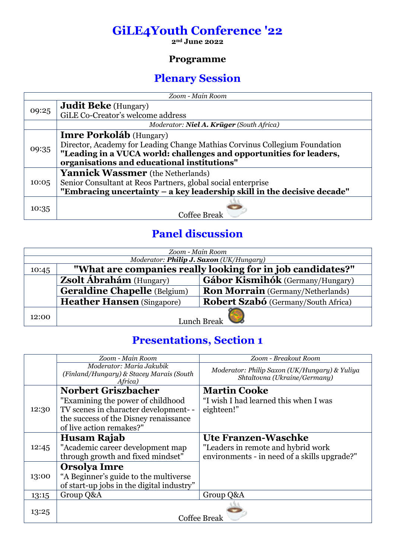## **GiLE4Youth Conference '22**

**2nd June 2022**

#### **Programme**

#### **Plenary Session**

| Zoom - Main Room |                                                                            |  |
|------------------|----------------------------------------------------------------------------|--|
|                  | <b>Judit Beke</b> (Hungary)                                                |  |
| 09:25            | GiLE Co-Creator's welcome address                                          |  |
|                  | Moderator: Niel A. Krüger (South Africa)                                   |  |
|                  | <b>Imre Porkoláb</b> (Hungary)                                             |  |
| 09:35            | Director, Academy for Leading Change Mathias Corvinus Collegium Foundation |  |
|                  | "Leading in a VUCA world: challenges and opportunities for leaders,        |  |
|                  | organisations and educational institutions"                                |  |
| 10:05            | <b>Yannick Wassmer</b> (the Netherlands)                                   |  |
|                  | Senior Consultant at Reos Partners, global social enterprise               |  |
|                  | "Embracing uncertainty – a key leadership skill in the decisive decade"    |  |
| 10:35            |                                                                            |  |
|                  | <b>Coffee Break</b>                                                        |  |

## **Panel discussion**

| Zoom - Main Room                                                    |                                     |                                          |
|---------------------------------------------------------------------|-------------------------------------|------------------------------------------|
| Moderator: Philip J. Saxon (UK/Hungary)                             |                                     |                                          |
| "What are companies really looking for in job candidates?"<br>10:45 |                                     |                                          |
|                                                                     | <b>Zsolt Ábrahám</b> (Hungary)      | <b>Gábor Kismihók</b> (Germany/Hungary)  |
|                                                                     | <b>Geraldine Chapelle</b> (Belgium) | <b>Ron Morrain</b> (Germany/Netherlands) |
|                                                                     | <b>Heather Hansen</b> (Singapore)   | Robert Szabó (Germany/South Africa)      |
| 12:00                                                               | Lunch Break                         |                                          |

## **Presentations, Section 1**

|       | Zoom - Main Room                                                                | Zoom - Breakout Room                                                          |
|-------|---------------------------------------------------------------------------------|-------------------------------------------------------------------------------|
|       | Moderator: Maria Jakubik<br>(Finland/Hungary) & Stacey Marais (South<br>Africa) | Moderator: Philip Saxon (UK/Hungary) & Yuliya<br>Shtaltovna (Ukraine/Germany) |
|       | <b>Norbert Griszbacher</b>                                                      | <b>Martin Cooke</b>                                                           |
| 12:30 | "Examining the power of childhood"                                              | "I wish I had learned this when I was                                         |
|       | TV scenes in character development--                                            | eighteen!"                                                                    |
|       | the success of the Disney renaissance                                           |                                                                               |
|       | of live action remakes?"                                                        |                                                                               |
|       | Husam Rajab                                                                     | Ute Franzen-Waschke                                                           |
| 12:45 | "Academic career development map                                                | "Leaders in remote and hybrid work                                            |
|       | through growth and fixed mindset"                                               | environments - in need of a skills upgrade?"                                  |
|       | <b>Orsolya Imre</b>                                                             |                                                                               |
| 13:00 | "A Beginner's guide to the multiverse                                           |                                                                               |
|       | of start-up jobs in the digital industry"                                       |                                                                               |
| 13:15 | Group Q&A                                                                       | Group Q&A                                                                     |
| 13:25 |                                                                                 | Coffee Break                                                                  |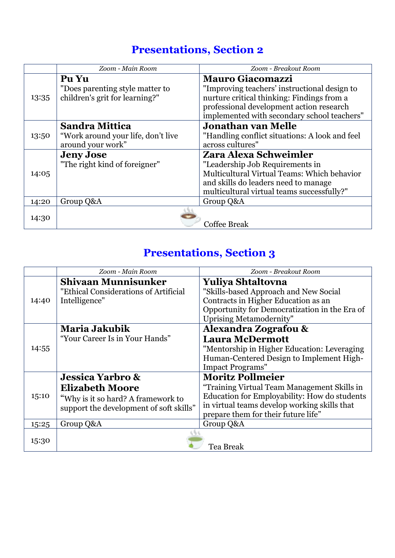## **Presentations, Section 2**

|       | Zoom - Main Room                                                  | Zoom - Breakout Room                                                                                                                                                                  |
|-------|-------------------------------------------------------------------|---------------------------------------------------------------------------------------------------------------------------------------------------------------------------------------|
|       | Pu Yu                                                             | <b>Mauro Giacomazzi</b>                                                                                                                                                               |
| 13:35 | "Does parenting style matter to<br>children's grit for learning?" | "Improving teachers' instructional design to<br>nurture critical thinking: Findings from a<br>professional development action research<br>implemented with secondary school teachers" |
|       | Sandra Mittica                                                    | <b>Jonathan van Melle</b>                                                                                                                                                             |
| 13:50 | "Work around your life, don't live                                | "Handling conflict situations: A look and feel                                                                                                                                        |
|       | around your work"                                                 | across cultures"                                                                                                                                                                      |
|       | <b>Jeny Jose</b>                                                  | Zara Alexa Schweimler                                                                                                                                                                 |
|       | "The right kind of foreigner"                                     | "Leadership Job Requirements in                                                                                                                                                       |
| 14:05 |                                                                   | Multicultural Virtual Teams: Which behavior                                                                                                                                           |
|       |                                                                   | and skills do leaders need to manage                                                                                                                                                  |
|       |                                                                   | multicultural virtual teams successfully?"                                                                                                                                            |
| 14:20 | Group Q&A                                                         | Group Q&A                                                                                                                                                                             |
|       |                                                                   |                                                                                                                                                                                       |
| 14:30 |                                                                   | <b>Coffee Break</b>                                                                                                                                                                   |

## **Presentations, Section 3**

|       | Zoom - Main Room                                                                                                                       | Zoom - Breakout Room                                                                                                                                                                                          |
|-------|----------------------------------------------------------------------------------------------------------------------------------------|---------------------------------------------------------------------------------------------------------------------------------------------------------------------------------------------------------------|
| 14:40 | <b>Shivaan Munnisunker</b><br>"Ethical Considerations of Artificial<br>Intelligence"                                                   | <b>Yuliya Shtaltovna</b><br>"Skills-based Approach and New Social<br>Contracts in Higher Education as an<br>Opportunity for Democratization in the Era of<br><b>Uprising Metamodernity"</b>                   |
| 14:55 | <b>Maria Jakubik</b><br>"Your Career Is in Your Hands"                                                                                 | <b>Alexandra Zografou &amp;</b><br><b>Laura McDermott</b><br>"Mentorship in Higher Education: Leveraging<br>Human-Centered Design to Implement High-<br><b>Impact Programs"</b>                               |
| 15:10 | <b>Jessica Yarbro &amp;</b><br><b>Elizabeth Moore</b><br>"Why is it so hard? A framework to<br>support the development of soft skills" | <b>Moritz Pollmeier</b><br>"Training Virtual Team Management Skills in<br>Education for Employability: How do students<br>in virtual teams develop working skills that<br>prepare them for their future life" |
| 15:25 | Group Q&A                                                                                                                              | Group Q&A                                                                                                                                                                                                     |
| 15:30 |                                                                                                                                        | Tea Break                                                                                                                                                                                                     |